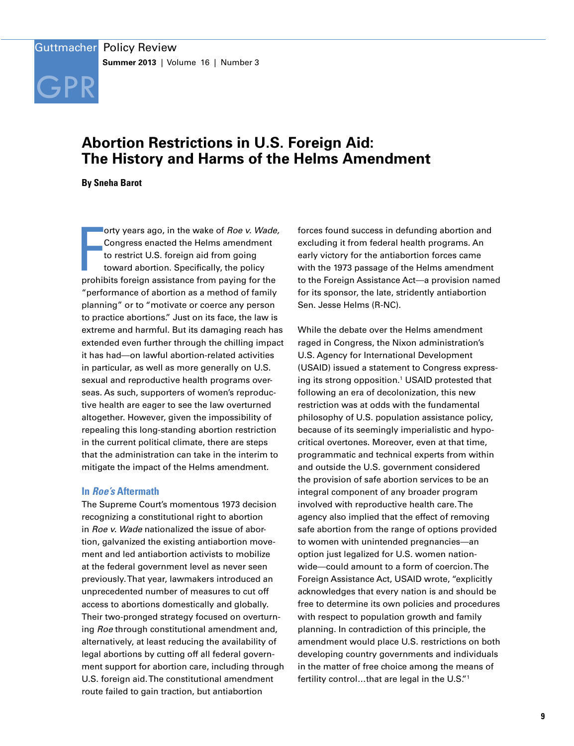

# **Abortion Restrictions in U.S. Foreign Aid: The History and Harms of the Helms Amendment**

**By Sneha Barot**

orty years ago, in the wake of *Roe v. Wade*<br>Congress enacted the Helms amendment<br>to restrict U.S. foreign aid from going<br>toward abortion. Specifically, the policy<br>prohibits foreign assistance from paying for the orty years ago, in the wake of *Roe v. Wade,*  Congress enacted the Helms amendment to restrict U.S. foreign aid from going toward abortion. Specifically, the policy "performance of abortion as a method of family planning" or to "motivate or coerce any person to practice abortions." Just on its face, the law is extreme and harmful. But its damaging reach has extended even further through the chilling impact it has had—on lawful abortion-related activities in particular, as well as more generally on U.S. sexual and reproductive health programs overseas. As such, supporters of women's reproductive health are eager to see the law overturned altogether. However, given the impossibility of repealing this long-standing abortion restriction in the current political climate, there are steps that the administration can take in the interim to mitigate the impact of the Helms amendment.

## **In** *Roe's* **Aftermath**

The Supreme Court's momentous 1973 decision recognizing a constitutional right to abortion in *Roe v. Wade* nationalized the issue of abortion, galvanized the existing antiabortion movement and led antiabortion activists to mobilize at the federal government level as never seen previously. That year, lawmakers introduced an unprecedented number of measures to cut off access to abortions domestically and globally. Their two-pronged strategy focused on overturning *Roe* through constitutional amendment and, alternatively, at least reducing the availability of legal abortions by cutting off all federal government support for abortion care, including through U.S. foreign aid. The constitutional amendment route failed to gain traction, but antiabortion

forces found success in defunding abortion and excluding it from federal health programs. An early victory for the antiabortion forces came with the 1973 passage of the Helms amendment to the Foreign Assistance Act—a provision named for its sponsor, the late, stridently antiabortion Sen. Jesse Helms (R-NC).

While the debate over the Helms amendment raged in Congress, the Nixon administration's U.S. Agency for International Development (USAID) issued a statement to Congress expressing its strong opposition.<sup>1</sup> USAID protested that following an era of decolonization, this new restriction was at odds with the fundamental philosophy of U.S. population assistance policy, because of its seemingly imperialistic and hypocritical overtones. Moreover, even at that time, programmatic and technical experts from within and outside the U.S. government considered the provision of safe abortion services to be an integral component of any broader program involved with reproductive health care. The agency also implied that the effect of removing safe abortion from the range of options provided to women with unintended pregnancies—an option just legalized for U.S. women nationwide—could amount to a form of coercion. The Foreign Assistance Act, USAID wrote, "explicitly acknowledges that every nation is and should be free to determine its own policies and procedures with respect to population growth and family planning. In contradiction of this principle, the amendment would place U.S. restrictions on both developing country governments and individuals in the matter of free choice among the means of fertility control…that are legal in the U.S."1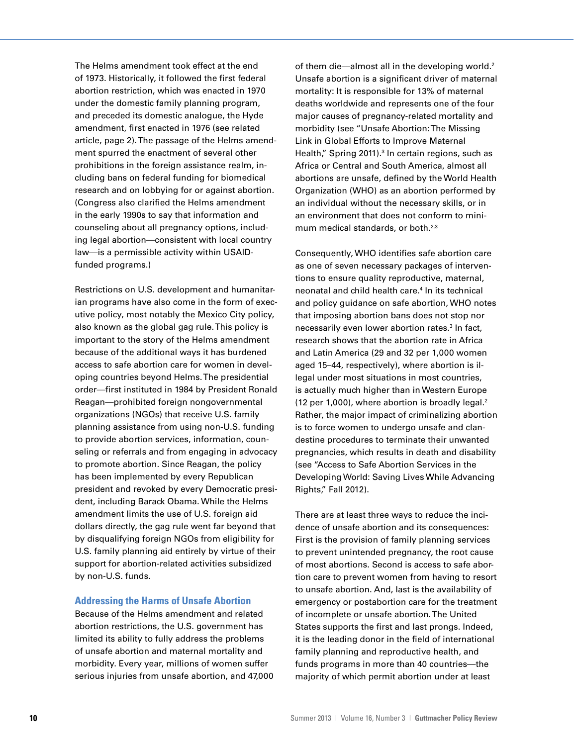The Helms amendment took effect at the end of 1973. Historically, it followed the first federal abortion restriction, which was enacted in 1970 under the domestic family planning program, and preceded its domestic analogue, the Hyde amendment, first enacted in 1976 (see related article, page 2). The passage of the Helms amendment spurred the enactment of several other prohibitions in the foreign assistance realm, including bans on federal funding for biomedical research and on lobbying for or against abortion. (Congress also clarified the Helms amendment in the early 1990s to say that information and counseling about all pregnancy options, including legal abortion—consistent with local country law—is a permissible activity within USAIDfunded programs.)

Restrictions on U.S. development and humanitarian programs have also come in the form of executive policy, most notably the Mexico City policy, also known as the global gag rule. This policy is important to the story of the Helms amendment because of the additional ways it has burdened access to safe abortion care for women in developing countries beyond Helms. The presidential order—first instituted in 1984 by President Ronald Reagan—prohibited foreign nongovernmental organizations (NGOs) that receive U.S. family planning assistance from using non-U.S. funding to provide abortion services, information, counseling or referrals and from engaging in advocacy to promote abortion. Since Reagan, the policy has been implemented by every Republican president and revoked by every Democratic president, including Barack Obama. While the Helms amendment limits the use of U.S. foreign aid dollars directly, the gag rule went far beyond that by disqualifying foreign NGOs from eligibility for U.S. family planning aid entirely by virtue of their support for abortion-related activities subsidized by non-U.S. funds.

## **Addressing the Harms of Unsafe Abortion**

Because of the Helms amendment and related abortion restrictions, the U.S. government has limited its ability to fully address the problems of unsafe abortion and maternal mortality and morbidity. Every year, millions of women suffer serious injuries from unsafe abortion, and 47,000 of them die—almost all in the developing world.<sup>2</sup> Unsafe abortion is a significant driver of maternal mortality: It is responsible for 13% of maternal deaths worldwide and represents one of the four major causes of pregnancy-related mortality and morbidity (see "Unsafe Abortion: The Missing Link in Global Efforts to Improve Maternal Health," Spring 2011).<sup>3</sup> In certain regions, such as Africa or Central and South America, almost all abortions are unsafe, defined by the World Health Organization (WHO) as an abortion performed by an individual without the necessary skills, or in an environment that does not conform to minimum medical standards, or both.2,3

Consequently, WHO identifies safe abortion care as one of seven necessary packages of interventions to ensure quality reproductive, maternal, neonatal and child health care.<sup>4</sup> In its technical and policy guidance on safe abortion, WHO notes that imposing abortion bans does not stop nor necessarily even lower abortion rates.<sup>3</sup> In fact, research shows that the abortion rate in Africa and Latin America (29 and 32 per 1,000 women aged 15–44, respectively), where abortion is illegal under most situations in most countries, is actually much higher than in Western Europe (12 per 1,000), where abortion is broadly legal. $2$ Rather, the major impact of criminalizing abortion is to force women to undergo unsafe and clandestine procedures to terminate their unwanted pregnancies, which results in death and disability (see "Access to Safe Abortion Services in the Developing World: Saving Lives While Advancing Rights," Fall 2012).

There are at least three ways to reduce the incidence of unsafe abortion and its consequences: First is the provision of family planning services to prevent unintended pregnancy, the root cause of most abortions. Second is access to safe abortion care to prevent women from having to resort to unsafe abortion. And, last is the availability of emergency or postabortion care for the treatment of incomplete or unsafe abortion. The United States supports the first and last prongs. Indeed, it is the leading donor in the field of international family planning and reproductive health, and funds programs in more than 40 countries—the majority of which permit abortion under at least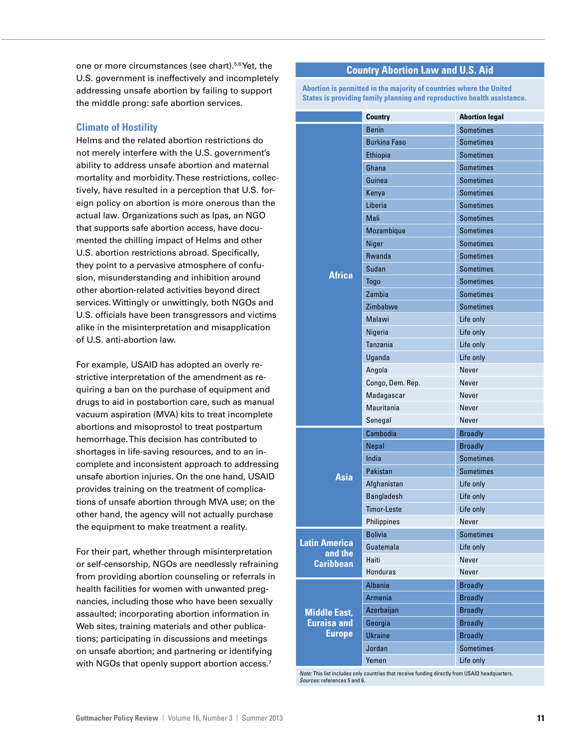one or more circumstances (see chart).5,6 Yet, the U.S. government is ineffectively and incompletely addressing unsafe abortion by failing to support the middle prong: safe abortion services.

# **Climate of Hostility**

Helms and the related abortion restrictions do not merely interfere with the U.S. government's ability to address unsafe abortion and maternal mortality and morbidity. These restrictions, collectively, have resulted in a perception that U.S. foreign policy on abortion is more onerous than the actual law. Organizations such as Ipas, an NGO that supports safe abortion access, have documented the chilling impact of Helms and other U.S. abortion restrictions abroad. Specifically, they point to a pervasive atmosphere of confusion, misunderstanding and inhibition around other abortion-related activities beyond direct services. Wittingly or unwittingly, both NGOs and U.S. officials have been transgressors and victims alike in the misinterpretation and misapplication of U.S. anti-abortion law.

For example, USAID has adopted an overly restrictive interpretation of the amendment as requiring a ban on the purchase of equipment and drugs to aid in postabortion care, such as manual vacuum aspiration (MVA) kits to treat incomplete abortions and misoprostol to treat postpartum hemorrhage. This decision has contributed to shortages in life-saving resources, and to an incomplete and inconsistent approach to addressing unsafe abortion injuries. On the one hand, USAID provides training on the treatment of complications of unsafe abortion through MVA use; on the other hand, the agency will not actually purchase the equipment to make treatment a reality.

For their part, whether through misinterpretation or self-censorship, NGOs are needlessly refraining from providing abortion counseling or referrals in health facilities for women with unwanted pregnancies, including those who have been sexually assaulted; incorporating abortion information in Web sites, training materials and other publications; participating in discussions and meetings on unsafe abortion; and partnering or identifying with NGOs that openly support abortion access.<sup>7</sup>

# **Country Abortion Law and U.S. Aid**

**Abortion is permitted in the majority of countries where the United States is providing family planning and reproductive health assistance.**

|                                                            | <b>Country</b>      | <b>Abortion legal</b> |
|------------------------------------------------------------|---------------------|-----------------------|
| <b>Africa</b>                                              | <b>Benin</b>        | <b>Sometimes</b>      |
|                                                            | <b>Burkina Faso</b> | <b>Sometimes</b>      |
|                                                            | <b>Ethiopia</b>     | <b>Sometimes</b>      |
|                                                            | Ghana               | <b>Sometimes</b>      |
|                                                            | Guinea              | <b>Sometimes</b>      |
|                                                            | Kenya               | <b>Sometimes</b>      |
|                                                            | Liberia             | <b>Sometimes</b>      |
|                                                            | Mali                | <b>Sometimes</b>      |
|                                                            | Mozambique          | <b>Sometimes</b>      |
|                                                            | Niger               | <b>Sometimes</b>      |
|                                                            | Rwanda              | <b>Sometimes</b>      |
|                                                            | Sudan               | <b>Sometimes</b>      |
|                                                            | Togo                | <b>Sometimes</b>      |
|                                                            | Zambia              | <b>Sometimes</b>      |
|                                                            | Zimbabwe            | <b>Sometimes</b>      |
|                                                            | Malawi              | Life only             |
|                                                            | Nigeria             | Life only             |
|                                                            | Tanzania            | Life only             |
|                                                            | Uganda              | Life only             |
|                                                            | Angola              | Never                 |
|                                                            | Congo, Dem. Rep.    | Never                 |
|                                                            | Madagascar          | Never                 |
|                                                            | Mauritania          | Never                 |
|                                                            | Senegal             | Never                 |
| Asia                                                       | Cambodia            | <b>Broadly</b>        |
|                                                            | Nepal               | <b>Broadly</b>        |
|                                                            | India               | <b>Sometimes</b>      |
|                                                            | Pakistan            | <b>Sometimes</b>      |
|                                                            | Afghanistan         | Life only             |
|                                                            | <b>Bangladesh</b>   | Life only             |
|                                                            | <b>Timor-Leste</b>  | Life only             |
|                                                            | Philippines         | Never                 |
| <b>Latin America</b><br>and the<br><b>Caribbean</b>        | <b>Bolivia</b>      | <b>Sometimes</b>      |
|                                                            | Guatemala           | Life only             |
|                                                            | Haiti               | Never                 |
|                                                            | <b>Honduras</b>     | Never                 |
| <b>Middle East,</b><br><b>Euraisa and</b><br><b>Europe</b> | <b>Albania</b>      | <b>Broadly</b>        |
|                                                            | Armenia             | <b>Broadly</b>        |
|                                                            | Azerbaijan          | <b>Broadly</b>        |
|                                                            | Georgia             | <b>Broadly</b>        |
|                                                            | <b>Ukraine</b>      | <b>Broadly</b>        |
|                                                            | Jordan              | <b>Sometimes</b>      |
|                                                            | Yemen               | Life only             |

*Note:* This list includes only countries that receive funding directly from USAID headquarters. *Sources:* references 5 and 6.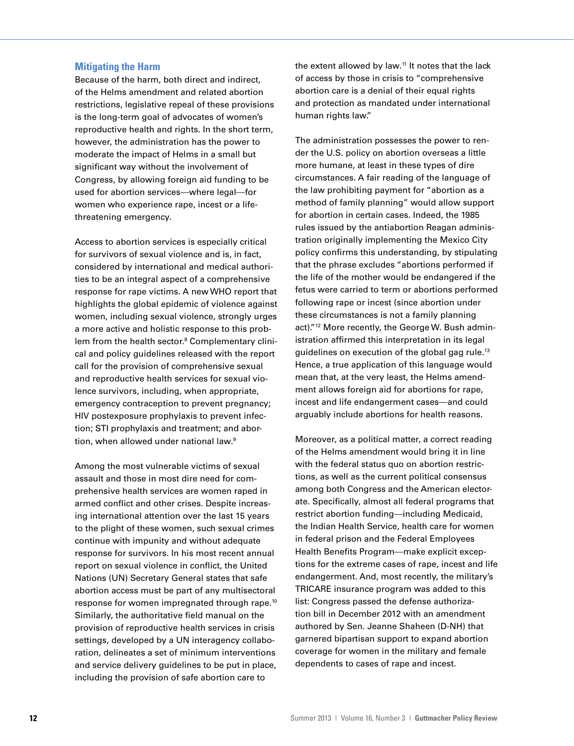## **Mitigating the Harm**

Because of the harm, both direct and indirect, of the Helms amendment and related abortion restrictions, legislative repeal of these provisions is the long-term goal of advocates of women's reproductive health and rights. In the short term, however, the administration has the power to moderate the impact of Helms in a small but significant way without the involvement of Congress, by allowing foreign aid funding to be used for abortion services—where legal—for women who experience rape, incest or a lifethreatening emergency.

Access to abortion services is especially critical for survivors of sexual violence and is, in fact, considered by international and medical authorities to be an integral aspect of a comprehensive response for rape victims. A new WHO report that highlights the global epidemic of violence against women, including sexual violence, strongly urges a more active and holistic response to this problem from the health sector.<sup>8</sup> Complementary clinical and policy guidelines released with the report call for the provision of comprehensive sexual and reproductive health services for sexual violence survivors, including, when appropriate, emergency contraception to prevent pregnancy; HIV postexposure prophylaxis to prevent infection; STI prophylaxis and treatment; and abortion, when allowed under national law.<sup>9</sup>

Among the most vulnerable victims of sexual assault and those in most dire need for comprehensive health services are women raped in armed conflict and other crises. Despite increasing international attention over the last 15 years to the plight of these women, such sexual crimes continue with impunity and without adequate response for survivors. In his most recent annual report on sexual violence in conflict, the United Nations (UN) Secretary General states that safe abortion access must be part of any multisectoral response for women impregnated through rape.10 Similarly, the authoritative field manual on the provision of reproductive health services in crisis settings, developed by a UN interagency collaboration, delineates a set of minimum interventions and service delivery guidelines to be put in place, including the provision of safe abortion care to

the extent allowed by law.<sup>11</sup> It notes that the lack of access by those in crisis to "comprehensive abortion care is a denial of their equal rights and protection as mandated under international human rights law."

The administration possesses the power to render the U.S. policy on abortion overseas a little more humane, at least in these types of dire circumstances. A fair reading of the language of the law prohibiting payment for "abortion as a method of family planning" would allow support for abortion in certain cases. Indeed, the 1985 rules issued by the antiabortion Reagan administration originally implementing the Mexico City policy confirms this understanding, by stipulating that the phrase excludes "abortions performed if the life of the mother would be endangered if the fetus were carried to term or abortions performed following rape or incest (since abortion under these circumstances is not a family planning act)."<sup>12</sup> More recently, the George W. Bush administration affirmed this interpretation in its legal guidelines on execution of the global gag rule.13 Hence, a true application of this language would mean that, at the very least, the Helms amendment allows foreign aid for abortions for rape, incest and life endangerment cases—and could arguably include abortions for health reasons.

Moreover, as a political matter, a correct reading of the Helms amendment would bring it in line with the federal status quo on abortion restrictions, as well as the current political consensus among both Congress and the American electorate. Specifically, almost all federal programs that restrict abortion funding—including Medicaid, the Indian Health Service, health care for women in federal prison and the Federal Employees Health Benefits Program—make explicit exceptions for the extreme cases of rape, incest and life endangerment. And, most recently, the military's TRICARE insurance program was added to this list: Congress passed the defense authorization bill in December 2012 with an amendment authored by Sen. Jeanne Shaheen (D-NH) that garnered bipartisan support to expand abortion coverage for women in the military and female dependents to cases of rape and incest.